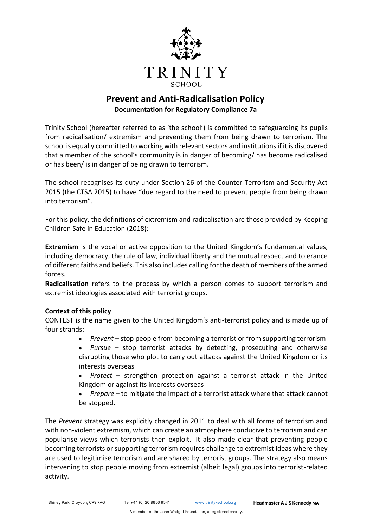

# **Prevent and Anti-Radicalisation Policy Documentation for Regulatory Compliance 7a**

Trinity School (hereafter referred to as 'the school') is committed to safeguarding its pupils from radicalisation/ extremism and preventing them from being drawn to terrorism. The school is equally committed to working with relevant sectors and institutions if it is discovered that a member of the school's community is in danger of becoming/ has become radicalised or has been/ is in danger of being drawn to terrorism.

The school recognises its duty under Section 26 of the Counter Terrorism and Security Act 2015 (the CTSA 2015) to have "due regard to the need to prevent people from being drawn into terrorism".

For this policy, the definitions of extremism and radicalisation are those provided by Keeping Children Safe in Education (2018):

**Extremism** is the vocal or active opposition to the United Kingdom's fundamental values, including democracy, the rule of law, individual liberty and the mutual respect and tolerance of different faiths and beliefs. This also includes calling for the death of members of the armed forces.

**Radicalisation** refers to the process by which a person comes to support terrorism and extremist ideologies associated with terrorist groups.

# **Context of this policy**

CONTEST is the name given to the United Kingdom's anti-terrorist policy and is made up of four strands:

- *Prevent* stop people from becoming a terrorist or from supporting terrorism
- *Pursue* stop terrorist attacks by detecting, prosecuting and otherwise disrupting those who plot to carry out attacks against the United Kingdom or its interests overseas

• *Protect* – strengthen protection against a terrorist attack in the United Kingdom or against its interests overseas

• *Prepare* – to mitigate the impact of a terrorist attack where that attack cannot be stopped.

The *Prevent* strategy was explicitly changed in 2011 to deal with all forms of terrorism and with non-violent extremism, which can create an atmosphere conducive to terrorism and can popularise views which terrorists then exploit. It also made clear that preventing people becoming terrorists or supporting terrorism requires challenge to extremist ideas where they are used to legitimise terrorism and are shared by terrorist groups. The strategy also means intervening to stop people moving from extremist (albeit legal) groups into terrorist-related activity.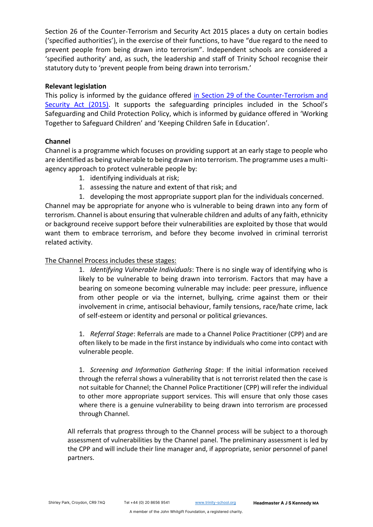Section 26 of the Counter-Terrorism and Security Act 2015 places a duty on certain bodies ('specified authorities'), in the exercise of their functions, to have "due regard to the need to prevent people from being drawn into terrorism". Independent schools are considered a 'specified authority' and, as such, the leadership and staff of Trinity School recognise their statutory duty to 'prevent people from being drawn into terrorism.'

#### **Relevant legislation**

This policy is informed by the guidance offered [in Section 29 of the Counter-Terrorism and](https://www.gov.uk/government/publications/prevent-duty-guidance)  [Security Act \(2015\)](https://www.gov.uk/government/publications/prevent-duty-guidance). It supports the safeguarding principles included in the School's Safeguarding and Child Protection Policy, which is informed by guidance offered in ['Working](file:///C:/Users/5753/AppData/Local/Packages/Microsoft.MicrosoftEdge_8wekyb3d8bbwe/TempState/Downloads/Safeguarding%20-%20Working%20Together%20to%20Safeguard%20Children.pdf)  [Together to Safeguard Children'](file:///C:/Users/5753/AppData/Local/Packages/Microsoft.MicrosoftEdge_8wekyb3d8bbwe/TempState/Downloads/Safeguarding%20-%20Working%20Together%20to%20Safeguard%20Children.pdf) and ['Keeping Children Safe in Education'.](file:///C:/Users/5753/AppData/Local/Packages/Microsoft.MicrosoftEdge_8wekyb3d8bbwe/TempState/Downloads/Safeguarding%20-%20Keeping%20Children%20Safe%20in%20Education%20(2016).pdf)

# **Channel**

Channel is a programme which focuses on providing support at an early stage to people who are identified as being vulnerable to being drawn into terrorism. The programme uses a multiagency approach to protect vulnerable people by:

- 1. identifying individuals at risk;
- 1. assessing the nature and extent of that risk; and
- 1. developing the most appropriate support plan for the individuals concerned.

Channel may be appropriate for anyone who is vulnerable to being drawn into any form of terrorism. Channel is about ensuring that vulnerable children and adults of any faith, ethnicity or background receive support before their vulnerabilities are exploited by those that would want them to embrace terrorism, and before they become involved in criminal terrorist related activity.

# The Channel Process includes these stages:

1. *Identifying Vulnerable Individuals*: There is no single way of identifying who is likely to be vulnerable to being drawn into terrorism. Factors that may have a bearing on someone becoming vulnerable may include: peer pressure, influence from other people or via the internet, bullying, crime against them or their involvement in crime, antisocial behaviour, family tensions, race/hate crime, lack of self-esteem or identity and personal or political grievances.

1. *Referral Stage*: Referrals are made to a Channel Police Practitioner (CPP) and are often likely to be made in the first instance by individuals who come into contact with vulnerable people.

1. *Screening and Information Gathering Stage*: If the initial information received through the referral shows a vulnerability that is not terrorist related then the case is not suitable for Channel; the Channel Police Practitioner (CPP) will refer the individual to other more appropriate support services. This will ensure that only those cases where there is a genuine vulnerability to being drawn into terrorism are processed through Channel.

All referrals that progress through to the Channel process will be subject to a thorough assessment of vulnerabilities by the Channel panel. The preliminary assessment is led by the CPP and will include their line manager and, if appropriate, senior personnel of panel partners.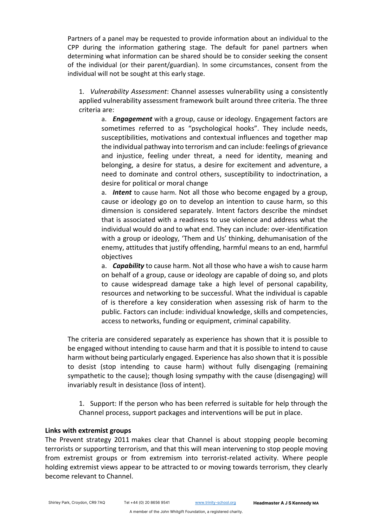Partners of a panel may be requested to provide information about an individual to the CPP during the information gathering stage. The default for panel partners when determining what information can be shared should be to consider seeking the consent of the individual (or their parent/guardian). In some circumstances, consent from the individual will not be sought at this early stage.

1. *Vulnerability Assessment*: Channel assesses vulnerability using a consistently applied vulnerability assessment framework built around three criteria. The three criteria are:

a. *Engagement* with a group, cause or ideology. Engagement factors are sometimes referred to as "psychological hooks". They include needs, susceptibilities, motivations and contextual influences and together map the individual pathway into terrorism and can include: feelings of grievance and injustice, feeling under threat, a need for identity, meaning and belonging, a desire for status, a desire for excitement and adventure, a need to dominate and control others, susceptibility to indoctrination, a desire for political or moral change

a. *Intent* to cause harm. Not all those who become engaged by a group, cause or ideology go on to develop an intention to cause harm, so this dimension is considered separately. Intent factors describe the mindset that is associated with a readiness to use violence and address what the individual would do and to what end. They can include: over-identification with a group or ideology, 'Them and Us' thinking, dehumanisation of the enemy, attitudes that justify offending, harmful means to an end, harmful objectives

a. *Capability* to cause harm. Not all those who have a wish to cause harm on behalf of a group, cause or ideology are capable of doing so, and plots to cause widespread damage take a high level of personal capability, resources and networking to be successful. What the individual is capable of is therefore a key consideration when assessing risk of harm to the public. Factors can include: individual knowledge, skills and competencies, access to networks, funding or equipment, criminal capability.

The criteria are considered separately as experience has shown that it is possible to be engaged without intending to cause harm and that it is possible to intend to cause harm without being particularly engaged. Experience has also shown that it is possible to desist (stop intending to cause harm) without fully disengaging (remaining sympathetic to the cause); though losing sympathy with the cause (disengaging) will invariably result in desistance (loss of intent).

1. Support: If the person who has been referred is suitable for help through the Channel process, support packages and interventions will be put in place.

#### **Links with extremist groups**

The Prevent strategy 2011 makes clear that Channel is about stopping people becoming terrorists or supporting terrorism, and that this will mean intervening to stop people moving from extremist groups or from extremism into terrorist-related activity. Where people holding extremist views appear to be attracted to or moving towards terrorism, they clearly become relevant to Channel.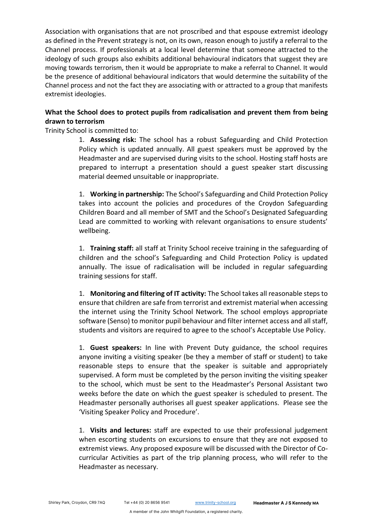Association with organisations that are not proscribed and that espouse extremist ideology as defined in the Prevent strategy is not, on its own, reason enough to justify a referral to the Channel process. If professionals at a local level determine that someone attracted to the ideology of such groups also exhibits additional behavioural indicators that suggest they are moving towards terrorism, then it would be appropriate to make a referral to Channel. It would be the presence of additional behavioural indicators that would determine the suitability of the Channel process and not the fact they are associating with or attracted to a group that manifests extremist ideologies.

# **What the School does to protect pupils from radicalisation and prevent them from being drawn to terrorism**

Trinity School is committed to:

1. **Assessing risk:** The school has a robust [Safeguarding and Child Protection](file://///vserver11/staff/Read/Policies/Safeguarding%20-%20Safeguarding%20and%20Child%20Protection%20Policy.docx)  [Policy](file://///vserver11/staff/Read/Policies/Safeguarding%20-%20Safeguarding%20and%20Child%20Protection%20Policy.docx) which is updated annually. All guest speakers must be approved by the Headmaster and are supervised during visits to the school. Hosting staff hosts are prepared to interrupt a presentation should a guest speaker start discussing material deemed unsuitable or inappropriate.

1. **Working in partnership:** The School's Safeguarding and Child Protection Policy takes into account the policies and procedures of the Croydon Safeguarding Children Board and all member of SMT and the School's Designated Safeguarding Lead are committed to working with relevant organisations to ensure students' wellbeing.

1. **Training staff:** all staff at Trinity School receive training in the safeguarding of children and the school's [Safeguarding and Child Protection Policy](file://///vserver11/staff/Read/Policies/Safeguarding%20-%20Safeguarding%20and%20Child%20Protection%20Policy.docx) is updated annually. The issue of radicalisation will be included in regular safeguarding training sessions for staff.

1. **Monitoring and filtering of IT activity:** The School takes all reasonable steps to ensure that children are safe from terrorist and extremist material when accessing the internet using the Trinity School Network. The school employs appropriate software (Senso) to monitor pupil behaviour and filter internet access and all staff, students and visitors are required to agree to the school's [Acceptable Use Policy.](file://///vserver11/staff/Read/Policies/ICT%20-%20Acceptable%20Use%20Policy%20(Staff).docx)

1. **Guest speakers:** In line with Prevent Duty guidance, the school requires anyone inviting a visiting speaker (be they a member of staff or student) to take reasonable steps to ensure that the speaker is suitable and appropriately supervised. A form must be completed by the person inviting the visiting speaker to the school, which must be sent to the Headmaster's Personal Assistant two weeks before the date on which the guest speaker is scheduled to present. The Headmaster personally authorises all guest speaker applications. Please see the 'Visiting Speaker Policy and Procedure'.

1. **Visits and lectures:** staff are expected to use their professional judgement when escorting students on excursions to ensure that they are not exposed to extremist views. Any proposed exposure will be discussed with the Director of Cocurricular Activities as part of the trip planning process, who will refer to the Headmaster as necessary.